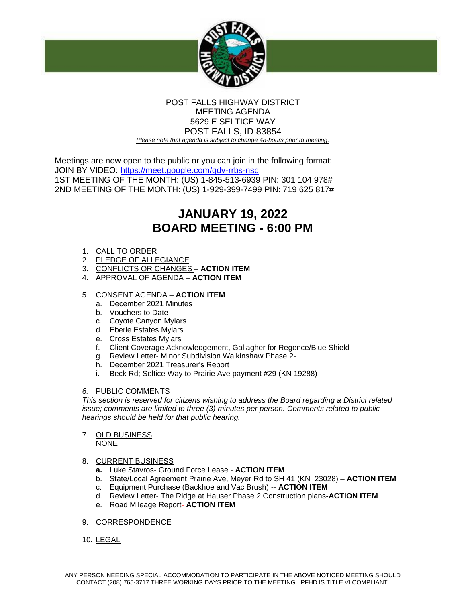

# POST FALLS HIGHWAY DISTRICT MEETING AGENDA 5629 E SELTICE WAY POST FALLS, ID 83854 *Please note that agenda is subject to change 48-hours prior to meeting.*

Meetings are now open to the public or you can join in the following format: JOIN BY VIDEO:<https://meet.google.com/qdv-rrbs-nsc> 1ST MEETING OF THE MONTH: (US) 1-845-513-6939 PIN: 301 104 978# 2ND MEETING OF THE MONTH: (US) 1-929-399-7499 PIN: 719 625 817#

# **JANUARY 19, 2022 BOARD MEETING - 6:00 PM**

- 1. CALL TO ORDER
- 2. PLEDGE OF ALLEGIANCE
- 3. CONFLICTS OR CHANGES **ACTION ITEM**
- 4. APPROVAL OF AGENDA **ACTION ITEM**

# 5. CONSENT AGENDA – **ACTION ITEM**

- a. December 2021 Minutes
- b. Vouchers to Date
- c. Coyote Canyon Mylars
- d. Eberle Estates Mylars
- e. Cross Estates Mylars
- f. Client Coverage Acknowledgement, Gallagher for Regence/Blue Shield
- g. Review Letter- Minor Subdivision Walkinshaw Phase 2-
- h. December 2021 Treasurer's Report
- i. Beck Rd; Seltice Way to Prairie Ave payment #29 (KN 19288)

# *6.* PUBLIC COMMENTS

*This section is reserved for citizens wishing to address the Board regarding a District related issue; comments are limited to three (3) minutes per person. Comments related to public hearings should be held for that public hearing.* 

# 7. OLD BUSINESS

NONE

# 8. CURRENT BUSINESS

- **a.** Luke Stavros- Ground Force Lease **ACTION ITEM**
- b. State/Local Agreement Prairie Ave, Meyer Rd to SH 41 (KN 23028) **ACTION ITEM**
- c. Equipment Purchase (Backhoe and Vac Brush) -- **ACTION ITEM**
- d. Review Letter- The Ridge at Hauser Phase 2 Construction plans**-ACTION ITEM**
- e. Road Mileage Report- **ACTION ITEM**
- 9. CORRESPONDENCE
- 10. LEGAL